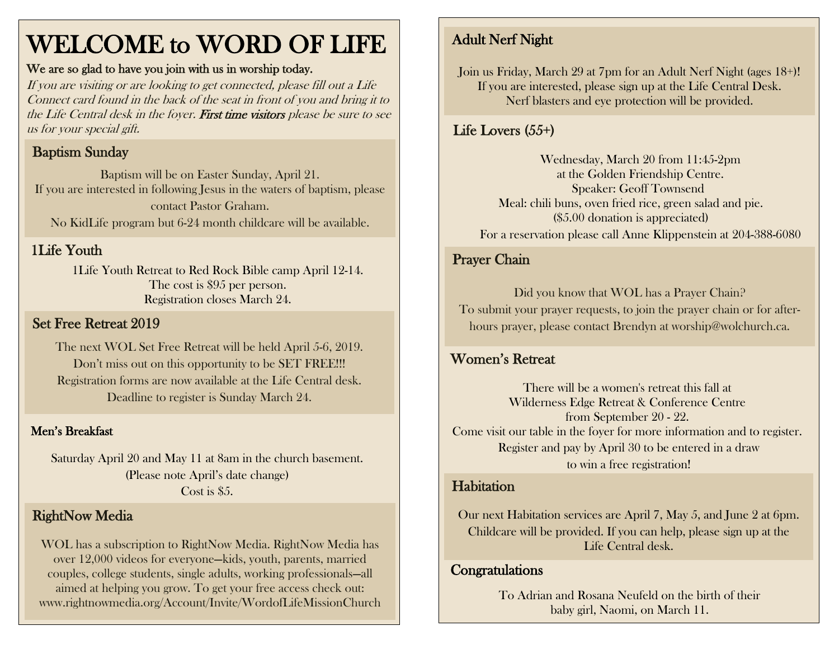# WELCOME to WORD OF LIFE

#### We are so glad to have you join with us in worship today.

If you are visiting or are looking to get connected, please fill out a Life Connect card found in the back of the seat in front of you and bring it to the Life Central desk in the foyer. First time visitors please be sure to see us for your special gift.

## Baptism Sunday

Baptism will be on Easter Sunday, April 21. If you are interested in following Jesus in the waters of baptism, please contact Pastor Graham. No KidLife program but 6-24 month childcare will be available.

## 1Life Youth

1Life Youth Retreat to Red Rock Bible camp April 12-14. The cost is \$95 per person. Registration closes March 24.

## Set Free Retreat 2019

The next WOL Set Free Retreat will be held April 5-6, 2019. Don't miss out on this opportunity to be SET FREE!!! Registration forms are now available at the Life Central desk. Deadline to register is Sunday March 24.

#### Men's Breakfast

Saturday April 20 and May 11 at 8am in the church basement. (Please note April's date change) Cost is \$5.

#### RightNow Media

WOL has a subscription to RightNow Media. RightNow Media has over 12,000 videos for everyone—kids, youth, parents, married couples, college students, single adults, working professionals—all aimed at helping you grow. To get your free access check out: www.rightnowmedia.org/Account/Invite/WordofLifeMissionChurch

# Adult Nerf Night

Join us Friday, March 29 at 7pm for an Adult Nerf Night (ages 18+)! If you are interested, please sign up at the Life Central Desk. Nerf blasters and eye protection will be provided.

## Life Lovers (55+)

Wednesday, March 20 from 11:45-2pm at the Golden Friendship Centre. Speaker: Geoff Townsend Meal: chili buns, oven fried rice, green salad and pie. (\$5.00 donation is appreciated) For a reservation please call Anne Klippenstein at 204-388-6080

#### Prayer Chain

Did you know that WOL has a Prayer Chain? To submit your prayer requests, to join the prayer chain or for afterhours prayer, please contact Brendyn at worship@wolchurch.ca.

#### Women's Retreat

There will be a women's retreat this fall at Wilderness Edge Retreat & Conference Centre from September 20 - 22. Come visit our table in the foyer for more information and to register. Register and pay by April 30 to be entered in a draw to win a free registration!

#### **Habitation**

Our next Habitation services are April 7, May 5, and June 2 at 6pm. Childcare will be provided. If you can help, please sign up at the Life Central desk.

## Congratulations

To Adrian and Rosana Neufeld on the birth of their baby girl, Naomi, on March 11.